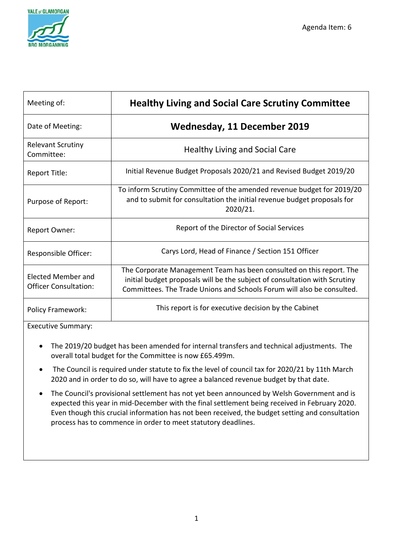

| Meeting of:                                               | <b>Healthy Living and Social Care Scrutiny Committee</b>                                                                                                                                                                     |
|-----------------------------------------------------------|------------------------------------------------------------------------------------------------------------------------------------------------------------------------------------------------------------------------------|
| Date of Meeting:                                          | <b>Wednesday, 11 December 2019</b>                                                                                                                                                                                           |
| <b>Relevant Scrutiny</b><br>Committee:                    | <b>Healthy Living and Social Care</b>                                                                                                                                                                                        |
| Report Title:                                             | Initial Revenue Budget Proposals 2020/21 and Revised Budget 2019/20                                                                                                                                                          |
| Purpose of Report:                                        | To inform Scrutiny Committee of the amended revenue budget for 2019/20<br>and to submit for consultation the initial revenue budget proposals for<br>2020/21.                                                                |
| <b>Report Owner:</b>                                      | Report of the Director of Social Services                                                                                                                                                                                    |
| Responsible Officer:                                      | Carys Lord, Head of Finance / Section 151 Officer                                                                                                                                                                            |
| <b>Elected Member and</b><br><b>Officer Consultation:</b> | The Corporate Management Team has been consulted on this report. The<br>initial budget proposals will be the subject of consultation with Scrutiny<br>Committees. The Trade Unions and Schools Forum will also be consulted. |
| <b>Policy Framework:</b>                                  | This report is for executive decision by the Cabinet                                                                                                                                                                         |

Executive Summary:

- The 2019/20 budget has been amended for internal transfers and technical adjustments. The overall total budget for the Committee is now £65.499m.
- The Council is required under statute to fix the level of council tax for 2020/21 by 11th March 2020 and in order to do so, will have to agree a balanced revenue budget by that date.
- The Council's provisional settlement has not yet been announced by Welsh Government and is expected this year in mid-December with the final settlement being received in February 2020. Even though this crucial information has not been received, the budget setting and consultation process has to commence in order to meet statutory deadlines.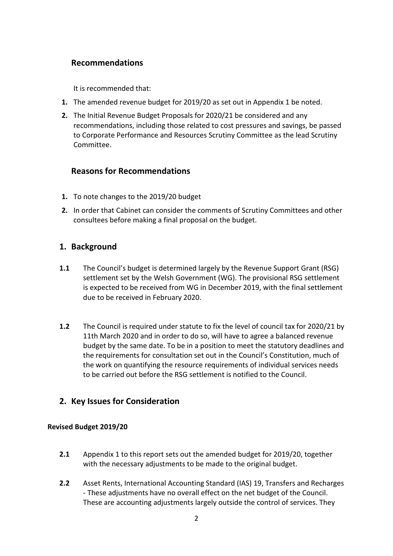# **Recommendations**

It is recommended that:

- **1.** The amended revenue budget for 2019/20 as set out in Appendix 1 be noted.
- **2.** The Initial Revenue Budget Proposals for 2020/21 be considered and any recommendations, including those related to cost pressures and savings, be passed to Corporate Performance and Resources Scrutiny Committee as the lead Scrutiny Committee.

## **Reasons for Recommendations**

- **1.** To note changes to the 2019/20 budget
- **2.** In order that Cabinet can consider the comments of Scrutiny Committees and other consultees before making a final proposal on the budget.

## **1. Background**

- **1.1** The Council's budget is determined largely by the Revenue Support Grant (RSG) settlement set by the Welsh Government (WG). The provisional RSG settlement is expected to be received from WG in December 2019, with the final settlement due to be received in February 2020.
- **1.2** The Council is required under statute to fix the level of council tax for 2020/21 by 11th March 2020 and in order to do so, will have to agree a balanced revenue budget by the same date. To be in a position to meet the statutory deadlines and the requirements for consultation set out in the Council's Constitution, much of the work on quantifying the resource requirements of individual services needs to be carried out before the RSG settlement is notified to the Council.

## **2. Key Issues for Consideration**

## **Revised Budget 2019/20**

- **2.1** Appendix 1 to this report sets out the amended budget for 2019/20, together with the necessary adjustments to be made to the original budget.
- **2.2** Asset Rents, International Accounting Standard (IAS) 19, Transfers and Recharges - These adjustments have no overall effect on the net budget of the Council. These are accounting adjustments largely outside the control of services. They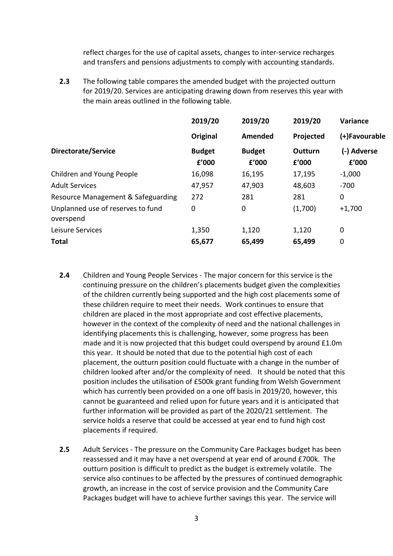reflect charges for the use of capital assets, changes to inter-service recharges and transfers and pensions adjustments to comply with accounting standards.

**2.3** The following table compares the amended budget with the projected outturn for 2019/20. Services are anticipating drawing down from reserves this year with the main areas outlined in the following table.

|                                                | 2019/20                | 2019/20                | 2019/20          | Variance             |
|------------------------------------------------|------------------------|------------------------|------------------|----------------------|
|                                                | Original               | Amended                | Projected        | (+)Favourable        |
| Directorate/Service                            | <b>Budget</b><br>£'000 | <b>Budget</b><br>f'000 | Outturn<br>£'000 | (-) Adverse<br>f'000 |
| Children and Young People                      | 16,098                 | 16,195                 | 17,195           | $-1,000$             |
| <b>Adult Services</b>                          | 47,957                 | 47,903                 | 48,603           | $-700$               |
| Resource Management & Safeguarding             | 272                    | 281                    | 281              | 0                    |
| Unplanned use of reserves to fund<br>overspend | 0                      | 0                      | (1,700)          | $+1,700$             |
| Leisure Services                               | 1,350                  | 1,120                  | 1,120            | 0                    |
| Total                                          | 65,677                 | 65,499                 | 65,499           | 0                    |

- **2.4** Children and Young People Services The major concern for this service is the continuing pressure on the children's placements budget given the complexities of the children currently being supported and the high cost placements some of these children require to meet their needs. Work continues to ensure that children are placed in the most appropriate and cost effective placements, however in the context of the complexity of need and the national challenges in identifying placements this is challenging, however, some progress has been made and it is now projected that this budget could overspend by around £1.0m this year. It should be noted that due to the potential high cost of each placement, the outturn position could fluctuate with a change in the number of children looked after and/or the complexity of need. It should be noted that this position includes the utilisation of £500k grant funding from Welsh Government which has currently been provided on a one off basis in 2019/20, however, this cannot be guaranteed and relied upon for future years and it is anticipated that further information will be provided as part of the 2020/21 settlement. The service holds a reserve that could be accessed at year end to fund high cost placements if required.
- **2.5** Adult Services The pressure on the Community Care Packages budget has been reassessed and it may have a net overspend at year end of around £700k. The outturn position is difficult to predict as the budget is extremely volatile. The service also continues to be affected by the pressures of continued demographic growth, an increase in the cost of service provision and the Community Care Packages budget will have to achieve further savings this year. The service will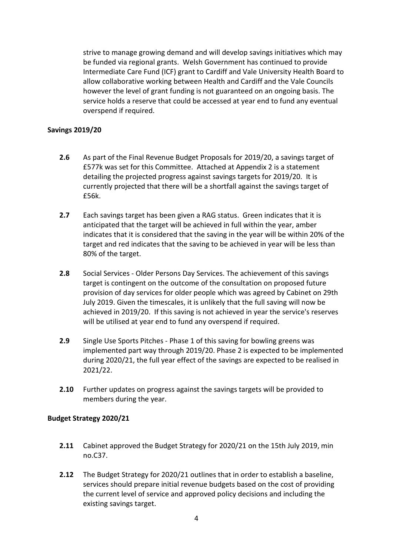strive to manage growing demand and will develop savings initiatives which may be funded via regional grants. Welsh Government has continued to provide Intermediate Care Fund (ICF) grant to Cardiff and Vale University Health Board to allow collaborative working between Health and Cardiff and the Vale Councils however the level of grant funding is not guaranteed on an ongoing basis. The service holds a reserve that could be accessed at year end to fund any eventual overspend if required.

## **Savings 2019/20**

- **2.6** As part of the Final Revenue Budget Proposals for 2019/20, a savings target of £577k was set for this Committee. Attached at Appendix 2 is a statement detailing the projected progress against savings targets for 2019/20. It is currently projected that there will be a shortfall against the savings target of £56k.
- **2.7** Each savings target has been given a RAG status. Green indicates that it is anticipated that the target will be achieved in full within the year, amber indicates that it is considered that the saving in the year will be within 20% of the target and red indicates that the saving to be achieved in year will be less than 80% of the target.
- **2.8** Social Services Older Persons Day Services. The achievement of this savings target is contingent on the outcome of the consultation on proposed future provision of day services for older people which was agreed by Cabinet on 29th July 2019. Given the timescales, it is unlikely that the full saving will now be achieved in 2019/20. If this saving is not achieved in year the service's reserves will be utilised at year end to fund any overspend if required.
- **2.9** Single Use Sports Pitches Phase 1 of this saving for bowling greens was implemented part way through 2019/20. Phase 2 is expected to be implemented during 2020/21, the full year effect of the savings are expected to be realised in 2021/22.
- **2.10** Further updates on progress against the savings targets will be provided to members during the year.

### **Budget Strategy 2020/21**

- **2.11** Cabinet approved the Budget Strategy for 2020/21 on the 15th July 2019, min no.C37.
- **2.12** The Budget Strategy for 2020/21 outlines that in order to establish a baseline, services should prepare initial revenue budgets based on the cost of providing the current level of service and approved policy decisions and including the existing savings target.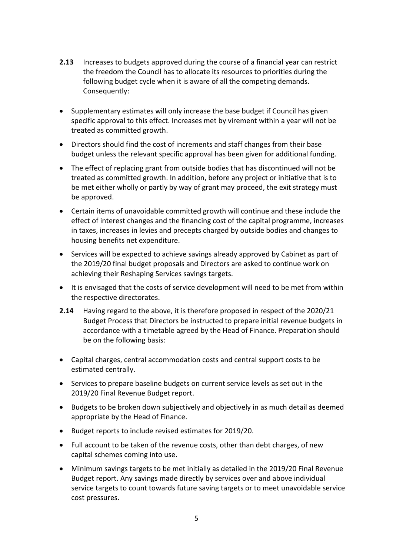- **2.13** Increases to budgets approved during the course of a financial year can restrict the freedom the Council has to allocate its resources to priorities during the following budget cycle when it is aware of all the competing demands. Consequently:
- Supplementary estimates will only increase the base budget if Council has given specific approval to this effect. Increases met by virement within a year will not be treated as committed growth.
- Directors should find the cost of increments and staff changes from their base budget unless the relevant specific approval has been given for additional funding.
- The effect of replacing grant from outside bodies that has discontinued will not be treated as committed growth. In addition, before any project or initiative that is to be met either wholly or partly by way of grant may proceed, the exit strategy must be approved.
- Certain items of unavoidable committed growth will continue and these include the effect of interest changes and the financing cost of the capital programme, increases in taxes, increases in levies and precepts charged by outside bodies and changes to housing benefits net expenditure.
- Services will be expected to achieve savings already approved by Cabinet as part of the 2019/20 final budget proposals and Directors are asked to continue work on achieving their Reshaping Services savings targets.
- It is envisaged that the costs of service development will need to be met from within the respective directorates.
- **2.14** Having regard to the above, it is therefore proposed in respect of the 2020/21 Budget Process that Directors be instructed to prepare initial revenue budgets in accordance with a timetable agreed by the Head of Finance. Preparation should be on the following basis:
- Capital charges, central accommodation costs and central support costs to be estimated centrally.
- Services to prepare baseline budgets on current service levels as set out in the 2019/20 Final Revenue Budget report.
- Budgets to be broken down subjectively and objectively in as much detail as deemed appropriate by the Head of Finance.
- Budget reports to include revised estimates for 2019/20.
- Full account to be taken of the revenue costs, other than debt charges, of new capital schemes coming into use.
- Minimum savings targets to be met initially as detailed in the 2019/20 Final Revenue Budget report. Any savings made directly by services over and above individual service targets to count towards future saving targets or to meet unavoidable service cost pressures.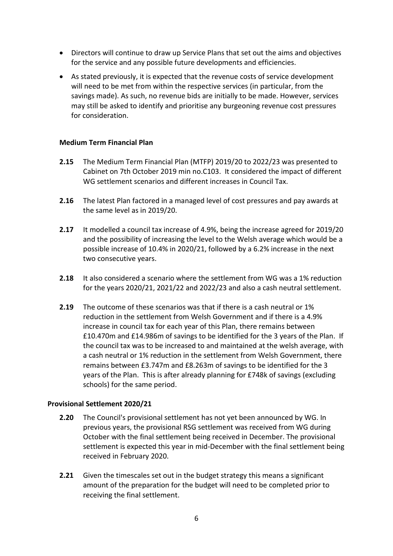- Directors will continue to draw up Service Plans that set out the aims and objectives for the service and any possible future developments and efficiencies.
- As stated previously, it is expected that the revenue costs of service development will need to be met from within the respective services (in particular, from the savings made). As such, no revenue bids are initially to be made. However, services may still be asked to identify and prioritise any burgeoning revenue cost pressures for consideration.

### **Medium Term Financial Plan**

- **2.15** The Medium Term Financial Plan (MTFP) 2019/20 to 2022/23 was presented to Cabinet on 7th October 2019 min no.C103. It considered the impact of different WG settlement scenarios and different increases in Council Tax.
- **2.16** The latest Plan factored in a managed level of cost pressures and pay awards at the same level as in 2019/20.
- **2.17** It modelled a council tax increase of 4.9%, being the increase agreed for 2019/20 and the possibility of increasing the level to the Welsh average which would be a possible increase of 10.4% in 2020/21, followed by a 6.2% increase in the next two consecutive years.
- **2.18** It also considered a scenario where the settlement from WG was a 1% reduction for the years 2020/21, 2021/22 and 2022/23 and also a cash neutral settlement.
- **2.19** The outcome of these scenarios was that if there is a cash neutral or 1% reduction in the settlement from Welsh Government and if there is a 4.9% increase in council tax for each year of this Plan, there remains between £10.470m and £14.986m of savings to be identified for the 3 years of the Plan. If the council tax was to be increased to and maintained at the welsh average, with a cash neutral or 1% reduction in the settlement from Welsh Government, there remains between £3.747m and £8.263m of savings to be identified for the 3 years of the Plan. This is after already planning for £748k of savings (excluding schools) for the same period.

#### **Provisional Settlement 2020/21**

- **2.20** The Council's provisional settlement has not yet been announced by WG. In previous years, the provisional RSG settlement was received from WG during October with the final settlement being received in December. The provisional settlement is expected this year in mid-December with the final settlement being received in February 2020.
- **2.21** Given the timescales set out in the budget strategy this means a significant amount of the preparation for the budget will need to be completed prior to receiving the final settlement.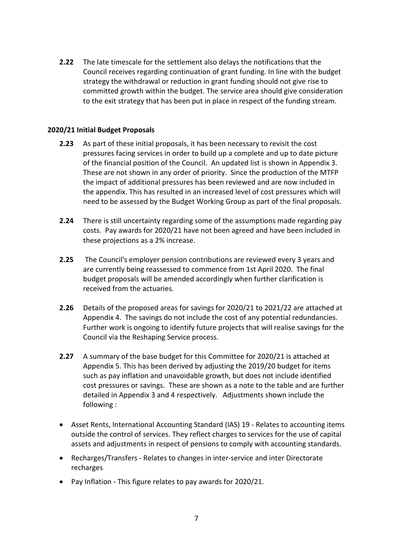**2.22** The late timescale for the settlement also delays the notifications that the Council receives regarding continuation of grant funding. In line with the budget strategy the withdrawal or reduction in grant funding should not give rise to committed growth within the budget. The service area should give consideration to the exit strategy that has been put in place in respect of the funding stream.

## **2020/21 Initial Budget Proposals**

- **2.23** As part of these initial proposals, it has been necessary to revisit the cost pressures facing services in order to build up a complete and up to date picture of the financial position of the Council. An updated list is shown in Appendix 3. These are not shown in any order of priority. Since the production of the MTFP the impact of additional pressures has been reviewed and are now included in the appendix. This has resulted in an increased level of cost pressures which will need to be assessed by the Budget Working Group as part of the final proposals.
- **2.24** There is still uncertainty regarding some of the assumptions made regarding pay costs. Pay awards for 2020/21 have not been agreed and have been included in these projections as a 2% increase.
- **2.25** The Council's employer pension contributions are reviewed every 3 years and are currently being reassessed to commence from 1st April 2020. The final budget proposals will be amended accordingly when further clarification is received from the actuaries.
- **2.26** Details of the proposed areas for savings for 2020/21 to 2021/22 are attached at Appendix 4. The savings do not include the cost of any potential redundancies. Further work is ongoing to identify future projects that will realise savings for the Council via the Reshaping Service process.
- **2.27** A summary of the base budget for this Committee for 2020/21 is attached at Appendix 5. This has been derived by adjusting the 2019/20 budget for items such as pay inflation and unavoidable growth, but does not include identified cost pressures or savings. These are shown as a note to the table and are further detailed in Appendix 3 and 4 respectively. Adjustments shown include the following :
- Asset Rents, International Accounting Standard (IAS) 19 Relates to accounting items outside the control of services. They reflect charges to services for the use of capital assets and adjustments in respect of pensions to comply with accounting standards.
- Recharges/Transfers Relates to changes in inter-service and inter Directorate recharges
- Pay Inflation This figure relates to pay awards for 2020/21.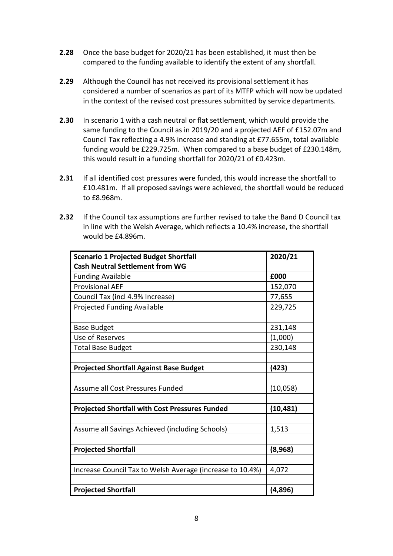- **2.28** Once the base budget for 2020/21 has been established, it must then be compared to the funding available to identify the extent of any shortfall.
- **2.29** Although the Council has not received its provisional settlement it has considered a number of scenarios as part of its MTFP which will now be updated in the context of the revised cost pressures submitted by service departments.
- **2.30** In scenario 1 with a cash neutral or flat settlement, which would provide the same funding to the Council as in 2019/20 and a projected AEF of £152.07m and Council Tax reflecting a 4.9% increase and standing at £77.655m, total available funding would be £229.725m. When compared to a base budget of £230.148m, this would result in a funding shortfall for 2020/21 of £0.423m.
- **2.31** If all identified cost pressures were funded, this would increase the shortfall to £10.481m. If all proposed savings were achieved, the shortfall would be reduced to £8.968m.
- **2.32** If the Council tax assumptions are further revised to take the Band D Council tax in line with the Welsh Average, which reflects a 10.4% increase, the shortfall would be £4.896m.

| <b>Scenario 1 Projected Budget Shortfall</b>              | 2020/21   |
|-----------------------------------------------------------|-----------|
| <b>Cash Neutral Settlement from WG</b>                    |           |
| <b>Funding Available</b>                                  | £000      |
| <b>Provisional AEF</b>                                    | 152,070   |
| Council Tax (incl 4.9% Increase)                          | 77,655    |
| Projected Funding Available                               | 229,725   |
|                                                           |           |
| <b>Base Budget</b>                                        | 231,148   |
| Use of Reserves                                           | (1,000)   |
| <b>Total Base Budget</b>                                  | 230,148   |
|                                                           |           |
| <b>Projected Shortfall Against Base Budget</b>            | (423)     |
|                                                           |           |
| Assume all Cost Pressures Funded                          | (10,058)  |
|                                                           |           |
| <b>Projected Shortfall with Cost Pressures Funded</b>     | (10, 481) |
|                                                           |           |
| Assume all Savings Achieved (including Schools)           | 1,513     |
|                                                           |           |
| <b>Projected Shortfall</b>                                | (8,968)   |
|                                                           |           |
| Increase Council Tax to Welsh Average (increase to 10.4%) | 4,072     |
|                                                           |           |
| <b>Projected Shortfall</b>                                | (4,896)   |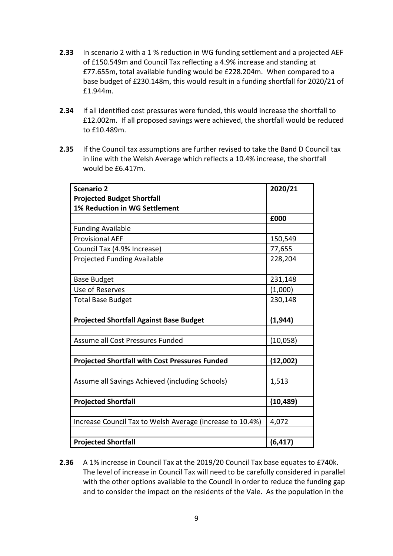- **2.33** In scenario 2 with a 1 % reduction in WG funding settlement and a projected AEF of £150.549m and Council Tax reflecting a 4.9% increase and standing at £77.655m, total available funding would be £228.204m. When compared to a base budget of £230.148m, this would result in a funding shortfall for 2020/21 of £1.944m.
- **2.34** If all identified cost pressures were funded, this would increase the shortfall to £12.002m. If all proposed savings were achieved, the shortfall would be reduced to £10.489m.
- **2.35** If the Council tax assumptions are further revised to take the Band D Council tax in line with the Welsh Average which reflects a 10.4% increase, the shortfall would be £6.417m.

| <b>Scenario 2</b>                                         | 2020/21   |
|-----------------------------------------------------------|-----------|
| <b>Projected Budget Shortfall</b>                         |           |
| <b>1% Reduction in WG Settlement</b>                      |           |
|                                                           | £000      |
| <b>Funding Available</b>                                  |           |
| <b>Provisional AEF</b>                                    | 150,549   |
| Council Tax (4.9% Increase)                               | 77,655    |
| Projected Funding Available                               | 228,204   |
|                                                           |           |
| <b>Base Budget</b>                                        | 231,148   |
| Use of Reserves                                           | (1,000)   |
| <b>Total Base Budget</b>                                  | 230,148   |
|                                                           |           |
| <b>Projected Shortfall Against Base Budget</b>            | (1, 944)  |
|                                                           |           |
| Assume all Cost Pressures Funded                          | (10,058)  |
|                                                           |           |
| <b>Projected Shortfall with Cost Pressures Funded</b>     | (12,002)  |
|                                                           |           |
| Assume all Savings Achieved (including Schools)           | 1,513     |
|                                                           |           |
| <b>Projected Shortfall</b>                                | (10, 489) |
|                                                           |           |
| Increase Council Tax to Welsh Average (increase to 10.4%) | 4,072     |
|                                                           |           |
| <b>Projected Shortfall</b>                                | (6, 417)  |

**2.36** A 1% increase in Council Tax at the 2019/20 Council Tax base equates to £740k. The level of increase in Council Tax will need to be carefully considered in parallel with the other options available to the Council in order to reduce the funding gap and to consider the impact on the residents of the Vale. As the population in the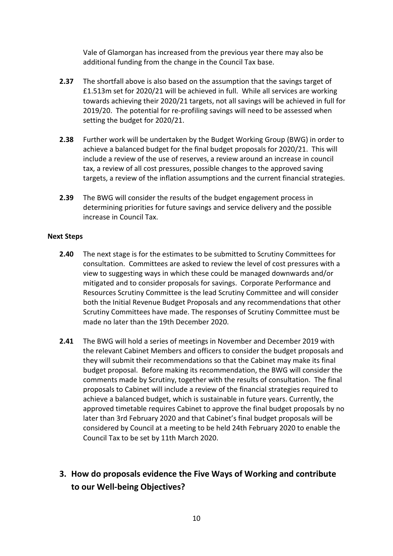Vale of Glamorgan has increased from the previous year there may also be additional funding from the change in the Council Tax base.

- **2.37** The shortfall above is also based on the assumption that the savings target of £1.513m set for 2020/21 will be achieved in full. While all services are working towards achieving their 2020/21 targets, not all savings will be achieved in full for 2019/20. The potential for re-profiling savings will need to be assessed when setting the budget for 2020/21.
- **2.38** Further work will be undertaken by the Budget Working Group (BWG) in order to achieve a balanced budget for the final budget proposals for 2020/21. This will include a review of the use of reserves, a review around an increase in council tax, a review of all cost pressures, possible changes to the approved saving targets, a review of the inflation assumptions and the current financial strategies.
- **2.39** The BWG will consider the results of the budget engagement process in determining priorities for future savings and service delivery and the possible increase in Council Tax.

### **Next Steps**

- **2.40** The next stage is for the estimates to be submitted to Scrutiny Committees for consultation. Committees are asked to review the level of cost pressures with a view to suggesting ways in which these could be managed downwards and/or mitigated and to consider proposals for savings. Corporate Performance and Resources Scrutiny Committee is the lead Scrutiny Committee and will consider both the Initial Revenue Budget Proposals and any recommendations that other Scrutiny Committees have made. The responses of Scrutiny Committee must be made no later than the 19th December 2020.
- **2.41** The BWG will hold a series of meetings in November and December 2019 with the relevant Cabinet Members and officers to consider the budget proposals and they will submit their recommendations so that the Cabinet may make its final budget proposal. Before making its recommendation, the BWG will consider the comments made by Scrutiny, together with the results of consultation. The final proposals to Cabinet will include a review of the financial strategies required to achieve a balanced budget, which is sustainable in future years. Currently, the approved timetable requires Cabinet to approve the final budget proposals by no later than 3rd February 2020 and that Cabinet's final budget proposals will be considered by Council at a meeting to be held 24th February 2020 to enable the Council Tax to be set by 11th March 2020.
- **3. How do proposals evidence the Five Ways of Working and contribute to our Well-being Objectives?**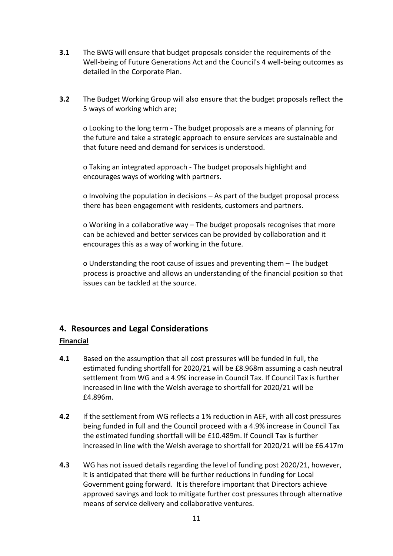- **3.1** The BWG will ensure that budget proposals consider the requirements of the Well-being of Future Generations Act and the Council's 4 well-being outcomes as detailed in the Corporate Plan.
- **3.2** The Budget Working Group will also ensure that the budget proposals reflect the 5 ways of working which are;

o Looking to the long term - The budget proposals are a means of planning for the future and take a strategic approach to ensure services are sustainable and that future need and demand for services is understood.

o Taking an integrated approach - The budget proposals highlight and encourages ways of working with partners.

o Involving the population in decisions – As part of the budget proposal process there has been engagement with residents, customers and partners.

o Working in a collaborative way – The budget proposals recognises that more can be achieved and better services can be provided by collaboration and it encourages this as a way of working in the future.

o Understanding the root cause of issues and preventing them – The budget process is proactive and allows an understanding of the financial position so that issues can be tackled at the source.

## **4. Resources and Legal Considerations**

### **Financial**

- **4.1** Based on the assumption that all cost pressures will be funded in full, the estimated funding shortfall for 2020/21 will be £8.968m assuming a cash neutral settlement from WG and a 4.9% increase in Council Tax. If Council Tax is further increased in line with the Welsh average to shortfall for 2020/21 will be £4.896m.
- **4.2** If the settlement from WG reflects a 1% reduction in AEF, with all cost pressures being funded in full and the Council proceed with a 4.9% increase in Council Tax the estimated funding shortfall will be £10.489m. If Council Tax is further increased in line with the Welsh average to shortfall for 2020/21 will be £6.417m
- **4.3** WG has not issued details regarding the level of funding post 2020/21, however, it is anticipated that there will be further reductions in funding for Local Government going forward. It is therefore important that Directors achieve approved savings and look to mitigate further cost pressures through alternative means of service delivery and collaborative ventures.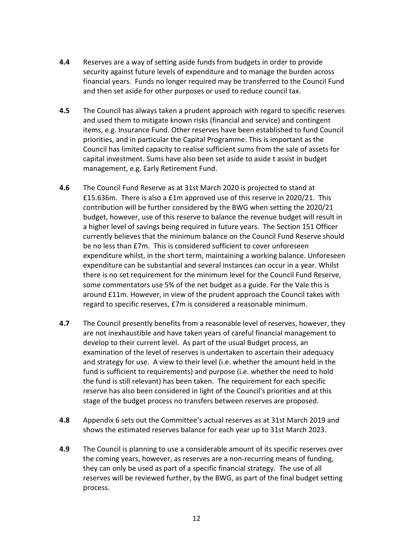- **4.4** Reserves are a way of setting aside funds from budgets in order to provide security against future levels of expenditure and to manage the burden across financial years. Funds no longer required may be transferred to the Council Fund and then set aside for other purposes or used to reduce council tax.
- **4.5** The Council has always taken a prudent approach with regard to specific reserves and used them to mitigate known risks (financial and service) and contingent items, e.g. Insurance Fund. Other reserves have been established to fund Council priorities, and in particular the Capital Programme. This is important as the Council has limited capacity to realise sufficient sums from the sale of assets for capital investment. Sums have also been set aside to aside t assist in budget management, e.g. Early Retirement Fund.
- **4.6** The Council Fund Reserve as at 31st March 2020 is projected to stand at £15.636m. There is also a £1m approved use of this reserve in 2020/21. This contribution will be further considered by the BWG when setting the 2020/21 budget, however, use of this reserve to balance the revenue budget will result in a higher level of savings being required in future years. The Section 151 Officer currently believes that the minimum balance on the Council Fund Reserve should be no less than £7m. This is considered sufficient to cover unforeseen expenditure whilst, in the short term, maintaining a working balance. Unforeseen expenditure can be substantial and several instances can occur in a year. Whilst there is no set requirement for the minimum level for the Council Fund Reserve, some commentators use 5% of the net budget as a guide. For the Vale this is around £11m. However, in view of the prudent approach the Council takes with regard to specific reserves, £7m is considered a reasonable minimum.
- **4.7** The Council presently benefits from a reasonable level of reserves, however, they are not inexhaustible and have taken years of careful financial management to develop to their current level. As part of the usual Budget process, an examination of the level of reserves is undertaken to ascertain their adequacy and strategy for use. A view to their level (i.e. whether the amount held in the fund is sufficient to requirements) and purpose (i.e. whether the need to hold the fund is still relevant) has been taken. The requirement for each specific reserve has also been considered in light of the Council's priorities and at this stage of the budget process no transfers between reserves are proposed.
- **4.8** Appendix 6 sets out the Committee's actual reserves as at 31st March 2019 and shows the estimated reserves balance for each year up to 31st March 2023.
- **4.9** The Council is planning to use a considerable amount of its specific reserves over the coming years, however, as reserves are a non-recurring means of funding, they can only be used as part of a specific financial strategy. The use of all reserves will be reviewed further, by the BWG, as part of the final budget setting process.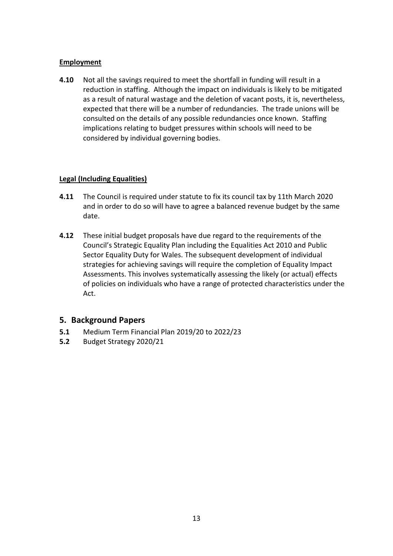## **Employment**

**4.10** Not all the savings required to meet the shortfall in funding will result in a reduction in staffing. Although the impact on individuals is likely to be mitigated as a result of natural wastage and the deletion of vacant posts, it is, nevertheless, expected that there will be a number of redundancies. The trade unions will be consulted on the details of any possible redundancies once known. Staffing implications relating to budget pressures within schools will need to be considered by individual governing bodies.

## **Legal (Including Equalities)**

- **4.11** The Council is required under statute to fix its council tax by 11th March 2020 and in order to do so will have to agree a balanced revenue budget by the same date.
- **4.12** These initial budget proposals have due regard to the requirements of the Council's Strategic Equality Plan including the Equalities Act 2010 and Public Sector Equality Duty for Wales. The subsequent development of individual strategies for achieving savings will require the completion of Equality Impact Assessments. This involves systematically assessing the likely (or actual) effects of policies on individuals who have a range of protected characteristics under the Act.

## **5. Background Papers**

- **5.1** Medium Term Financial Plan 2019/20 to 2022/23
- **5.2** Budget Strategy 2020/21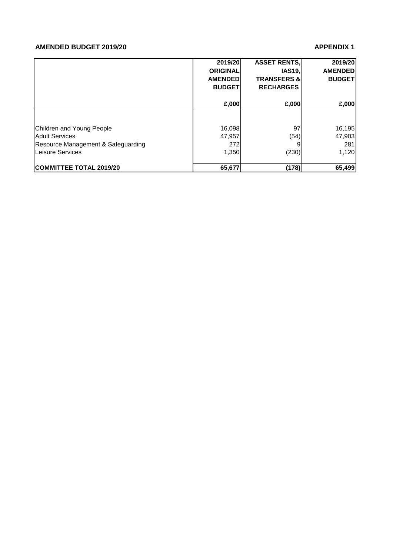#### **AMENDED BUDGET 2019/20 APPENDIX 1**

|                                    | 2019/20         | <b>ASSET RENTS,</b>    | 2019/20        |
|------------------------------------|-----------------|------------------------|----------------|
|                                    | <b>ORIGINAL</b> | <b>IAS19.</b>          | <b>AMENDED</b> |
|                                    | <b>AMENDED</b>  | <b>TRANSFERS &amp;</b> | <b>BUDGET</b>  |
|                                    | <b>BUDGET</b>   | <b>RECHARGES</b>       |                |
|                                    | £,000           | £,000                  | £,000          |
|                                    |                 |                        |                |
| Children and Young People          | 16,098          | 97                     | 16,195         |
| <b>Adult Services</b>              | 47,957          | (54)                   | 47,903         |
| Resource Management & Safeguarding | 272             |                        | 281            |
| Leisure Services                   | 1,350           | (230)                  | 1,120          |
| <b>COMMITTEE TOTAL 2019/20</b>     | 65,677          | (178)                  | 65,499         |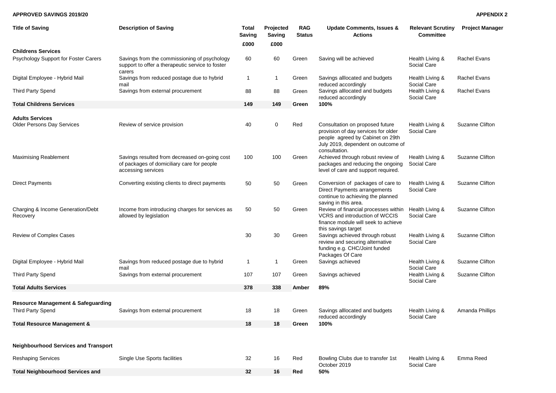#### **APPROVED SAVINGS 2019/20 APPENDIX 2**

|  |  | <b>APPENDIX 2</b> |  |  |  |  |
|--|--|-------------------|--|--|--|--|
|--|--|-------------------|--|--|--|--|

| <b>Title of Saving</b>                        | <b>Description of Saving</b>                                                                                      | <b>Total</b><br><b>Saving</b> | Projected<br><b>Saving</b> | <b>RAG</b><br><b>Status</b> | Update Comments, Issues &<br><b>Actions</b>                                                                                                                       | <b>Relevant Scrutiny</b><br><b>Committee</b> | <b>Project Manager</b> |
|-----------------------------------------------|-------------------------------------------------------------------------------------------------------------------|-------------------------------|----------------------------|-----------------------------|-------------------------------------------------------------------------------------------------------------------------------------------------------------------|----------------------------------------------|------------------------|
|                                               |                                                                                                                   | £000                          | £000                       |                             |                                                                                                                                                                   |                                              |                        |
| <b>Childrens Services</b>                     |                                                                                                                   |                               |                            |                             |                                                                                                                                                                   |                                              |                        |
| Psychology Support for Foster Carers          | Savings from the commissioning of psychology<br>support to offer a therapeutic service to foster<br>carers        | 60                            | 60                         | Green                       | Saving will be achieved                                                                                                                                           | Health Living &<br>Social Care               | <b>Rachel Evans</b>    |
| Digital Employee - Hybrid Mail                | Savings from reduced postage due to hybrid<br>mail                                                                | $\mathbf{1}$                  | 1                          | Green                       | Savings alllocated and budgets<br>reduced accordingly                                                                                                             | Health Living &<br>Social Care               | <b>Rachel Evans</b>    |
| <b>Third Party Spend</b>                      | Savings from external procurement                                                                                 | 88                            | 88                         | Green                       | Savings alllocated and budgets<br>reduced accordingly                                                                                                             | Health Living &<br>Social Care               | Rachel Evans           |
| <b>Total Childrens Services</b>               |                                                                                                                   | 149                           | 149                        | Green                       | 100%                                                                                                                                                              |                                              |                        |
| <b>Adults Services</b>                        |                                                                                                                   |                               |                            |                             |                                                                                                                                                                   |                                              |                        |
| <b>Older Persons Day Services</b>             | Review of service provision                                                                                       | 40                            | 0                          | Red                         | Consultation on proposed future<br>provision of day services for older<br>people agreed by Cabinet on 29th<br>July 2019, dependent on outcome of<br>consultation. | Health Living &<br>Social Care               | Suzanne Clifton        |
| <b>Maximising Reablement</b>                  | Savings resulted from decreased on-going cost<br>of packages of domiciliary care for people<br>accessing services | 100                           | 100                        | Green                       | Achieved through robust review of<br>packages and reducing the ongoing<br>level of care and support required.                                                     | Health Living &<br>Social Care               | Suzanne Clifton        |
| <b>Direct Payments</b>                        | Converting existing clients to direct payments                                                                    | 50                            | 50                         | Green                       | Conversion of packages of care to<br><b>Direct Payments arrangements</b><br>continue to achieving the planned<br>saving in this area.                             | Health Living &<br>Social Care               | Suzanne Clifton        |
| Charging & Income Generation/Debt<br>Recovery | Income from introducing charges for services as<br>allowed by legislation                                         | 50                            | 50                         | Green                       | Review of financial processes within<br>VCRS and introduction of WCCIS<br>finance module will seek to achieve<br>this savings target                              | Health Living &<br>Social Care               | Suzanne Clifton        |
| Review of Complex Cases                       |                                                                                                                   | 30                            | 30                         | Green                       | Savings achieved through robust<br>review and securing alternative<br>funding e.g. CHC/Joint funded<br>Packages Of Care                                           | Health Living &<br>Social Care               | Suzanne Clifton        |
| Digital Employee - Hybrid Mail                | Savings from reduced postage due to hybrid<br>mail                                                                | $\mathbf{1}$                  | $\mathbf{1}$               | Green                       | Savings achieved                                                                                                                                                  | Health Living &<br>Social Care               | Suzanne Clifton        |
| <b>Third Party Spend</b>                      | Savings from external procurement                                                                                 | 107                           | 107                        | Green                       | Savings achieved                                                                                                                                                  | Health Living &<br>Social Care               | Suzanne Clifton        |
| <b>Total Adults Services</b>                  |                                                                                                                   | 378                           | 338                        | Amber                       | 89%                                                                                                                                                               |                                              |                        |
|                                               |                                                                                                                   |                               |                            |                             |                                                                                                                                                                   |                                              |                        |
| <b>Resource Management &amp; Safeguarding</b> |                                                                                                                   |                               |                            |                             |                                                                                                                                                                   |                                              |                        |
| <b>Third Party Spend</b>                      | Savings from external procurement                                                                                 | 18                            | 18                         | Green                       | Savings alllocated and budgets<br>reduced accordingly                                                                                                             | Health Living &<br>Social Care               | Amanda Phillips        |
| <b>Total Resource Management &amp;</b>        |                                                                                                                   | 18                            | 18                         | Green                       | 100%                                                                                                                                                              |                                              |                        |
|                                               |                                                                                                                   |                               |                            |                             |                                                                                                                                                                   |                                              |                        |
| <b>Neighbourhood Services and Transport</b>   |                                                                                                                   |                               |                            |                             |                                                                                                                                                                   |                                              |                        |
| <b>Reshaping Services</b>                     | Single Use Sports facilities                                                                                      | 32                            | 16                         | Red                         | Bowling Clubs due to transfer 1st<br>October 2019                                                                                                                 | Health Living &<br>Social Care               | Emma Reed              |
| <b>Total Neighbourhood Services and</b>       |                                                                                                                   | 32                            | 16                         | Red                         | 50%                                                                                                                                                               |                                              |                        |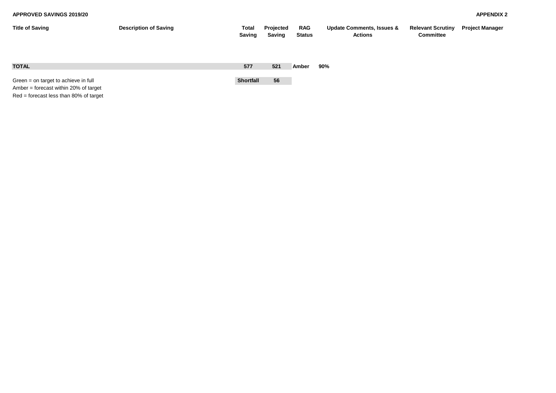| <b>Title of Saving</b>                                                                                                      | <b>Description of Saving</b> | <b>Total</b><br>Saving | Projected<br>Saving | <b>RAG</b><br><b>Status</b> | <b>Update Comments, Issues &amp;</b><br><b>Actions</b> | <b>Relevant Scrutiny</b><br><b>Committee</b> | <b>Project Manager</b> |
|-----------------------------------------------------------------------------------------------------------------------------|------------------------------|------------------------|---------------------|-----------------------------|--------------------------------------------------------|----------------------------------------------|------------------------|
| <b>TOTAL</b>                                                                                                                |                              | 577                    | 521                 | Amber                       | 90%                                                    |                                              |                        |
| Green $=$ on target to achieve in full<br>Amber = forecast within 20% of target<br>$Red =$ forecast less than 80% of target |                              | Shortfall              | 56                  |                             |                                                        |                                              |                        |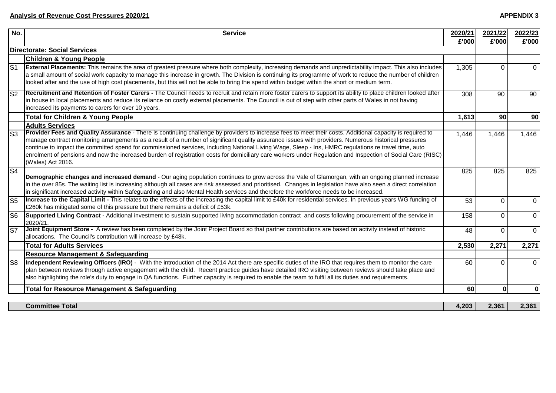| No.                      | <b>Service</b>                                                                                                                                                                                                                                                                                                                                                                                                                                                                                                                                                                                                                                                 | 2020/21   | 2021/22   | 2022/23     |
|--------------------------|----------------------------------------------------------------------------------------------------------------------------------------------------------------------------------------------------------------------------------------------------------------------------------------------------------------------------------------------------------------------------------------------------------------------------------------------------------------------------------------------------------------------------------------------------------------------------------------------------------------------------------------------------------------|-----------|-----------|-------------|
|                          |                                                                                                                                                                                                                                                                                                                                                                                                                                                                                                                                                                                                                                                                | £'000     | £'000     | £'000       |
|                          | Directorate: Social Services                                                                                                                                                                                                                                                                                                                                                                                                                                                                                                                                                                                                                                   |           |           |             |
|                          | <b>Children &amp; Young People</b>                                                                                                                                                                                                                                                                                                                                                                                                                                                                                                                                                                                                                             |           |           |             |
| $\overline{\mathsf{S}1}$ | <b>External Placements:</b> This remains the area of greatest pressure where both complexity, increasing demands and unpredictability impact. This also includes<br>a small amount of social work capacity to manage this increase in growth. The Division is continuing its programme of work to reduce the number of children<br>looked after and the use of high cost placements, but this will not be able to bring the spend within budget within the short or medium term.                                                                                                                                                                               | 1,305     | $\Omega$  | $\Omega$    |
| $\overline{\mathsf{S2}}$ | Recruitment and Retention of Foster Carers - The Council needs to recruit and retain more foster carers to support its ability to place children looked after<br>in house in local placements and reduce its reliance on costly external placements. The Council is out of step with other parts of Wales in not having<br>increased its payments to carers for over 10 years.                                                                                                                                                                                                                                                                                 | 308       | 90        | 90          |
|                          | <b>Total for Children &amp; Young People</b>                                                                                                                                                                                                                                                                                                                                                                                                                                                                                                                                                                                                                   | 1,613     | <b>90</b> | 90          |
|                          | <b>Adults Services</b>                                                                                                                                                                                                                                                                                                                                                                                                                                                                                                                                                                                                                                         |           |           |             |
| $\overline{\text{S3}}$   | Provider Fees and Quality Assurance - There is continuing challenge by providers to increase fees to meet their costs. Additional capacity is required to<br>manage contract monitoring arrangements as a result of a number of significant quality assurance issues with providers. Numerous historical pressures<br>continue to impact the committed spend for commissioned services, including National Living Wage, Sleep - Ins, HMRC regulations re travel time, auto<br>enrolment of pensions and now the increased burden of registration costs for domiciliary care workers under Regulation and Inspection of Social Care (RISC)<br>(Wales) Act 2016. | 1,446     | 1,446     | 1,446       |
| S <sub>4</sub>           | Demographic changes and increased demand - Our aging population continues to grow across the Vale of Glamorgan, with an ongoing planned increase<br>in the over 85s. The waiting list is increasing although all cases are risk assessed and prioritised. Changes in legislation have also seen a direct correlation<br>in significant increased activity within Safeguarding and also Mental Health services and therefore the workforce needs to be increased.                                                                                                                                                                                               | 825       | 825       | 825         |
| S <sub>5</sub>           | Increase to the Capital Limit - This relates to the effects of the increasing the capital limit to £40k for residential services. In previous years WG funding of<br>£260k has mitigated some of this pressure but there remains a deficit of £53k.                                                                                                                                                                                                                                                                                                                                                                                                            | 53        | $\Omega$  | $\mathbf 0$ |
| S6                       | Supported Living Contract - Additional investment to sustain supported living accommodation contract and costs following procurement of the service in<br>2020/21.                                                                                                                                                                                                                                                                                                                                                                                                                                                                                             | 158       | $\Omega$  | $\mathbf 0$ |
| $\overline{\mathsf{S}7}$ | Joint Equipment Store - A review has been completed by the Joint Project Board so that partner contributions are based on activity instead of historic<br>allocations. The Council's contribution will increase by £48k.                                                                                                                                                                                                                                                                                                                                                                                                                                       | 48        | $\Omega$  | $\Omega$    |
|                          | <b>Total for Adults Services</b>                                                                                                                                                                                                                                                                                                                                                                                                                                                                                                                                                                                                                               | 2,530     | 2,271     | 2,271       |
|                          | <b>Resource Management &amp; Safeguarding</b>                                                                                                                                                                                                                                                                                                                                                                                                                                                                                                                                                                                                                  |           |           |             |
| S <sub>8</sub>           | Independent Reviewing Officers (IRO) - With the introduction of the 2014 Act there are specific duties of the IRO that requires them to monitor the care<br>plan between reviews through active engagement with the child. Recent practice guides have detailed IRO visiting between reviews should take place and<br>also highlighting the role's duty to engage in QA functions. Further capacity is required to enable the team to fulfil all its duties and requirements.                                                                                                                                                                                  | 60        | $\Omega$  | $\Omega$    |
|                          | <b>Total for Resource Management &amp; Safeguarding</b>                                                                                                                                                                                                                                                                                                                                                                                                                                                                                                                                                                                                        | <b>60</b> | 0         | $\bf{0}$    |
|                          |                                                                                                                                                                                                                                                                                                                                                                                                                                                                                                                                                                                                                                                                |           |           |             |

| <b>Committee Total</b> |  |
|------------------------|--|
|------------------------|--|

**Committee Total 4,203 2,361 2,361**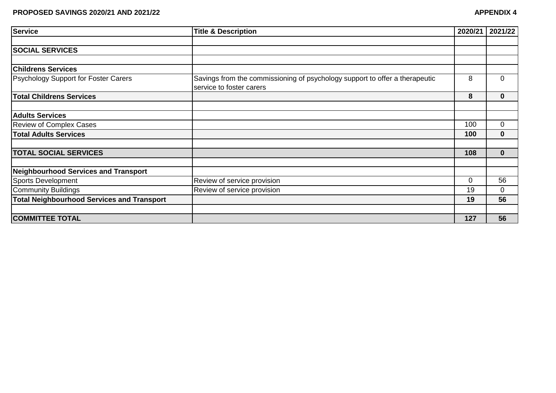| <b>Service</b>                                    | <b>Title &amp; Description</b>                                                                          | 2020/21      | 2021/22        |
|---------------------------------------------------|---------------------------------------------------------------------------------------------------------|--------------|----------------|
|                                                   |                                                                                                         |              |                |
| <b>SOCIAL SERVICES</b>                            |                                                                                                         |              |                |
|                                                   |                                                                                                         |              |                |
| <b>Childrens Services</b>                         |                                                                                                         |              |                |
| Psychology Support for Foster Carers              | Savings from the commissioning of psychology support to offer a therapeutic<br>service to foster carers | 8            | $\overline{0}$ |
| <b>Total Childrens Services</b>                   |                                                                                                         | 8            | $\bf{0}$       |
|                                                   |                                                                                                         |              |                |
| <b>Adults Services</b>                            |                                                                                                         |              |                |
| <b>Review of Complex Cases</b>                    |                                                                                                         | 100          | $\mathbf 0$    |
| <b>Total Adults Services</b>                      |                                                                                                         | 100          | $\bf{0}$       |
|                                                   |                                                                                                         |              |                |
| <b>TOTAL SOCIAL SERVICES</b>                      |                                                                                                         | 108          | $\bf{0}$       |
|                                                   |                                                                                                         |              |                |
| <b>Neighbourhood Services and Transport</b>       |                                                                                                         |              |                |
| <b>Sports Development</b>                         | Review of service provision                                                                             | $\mathbf{0}$ | 56             |
| <b>Community Buildings</b>                        | Review of service provision                                                                             | 19           | $\Omega$       |
| <b>Total Neighbourhood Services and Transport</b> |                                                                                                         | 19           | 56             |
|                                                   |                                                                                                         |              |                |
| <b>COMMITTEE TOTAL</b>                            |                                                                                                         | 127          | 56             |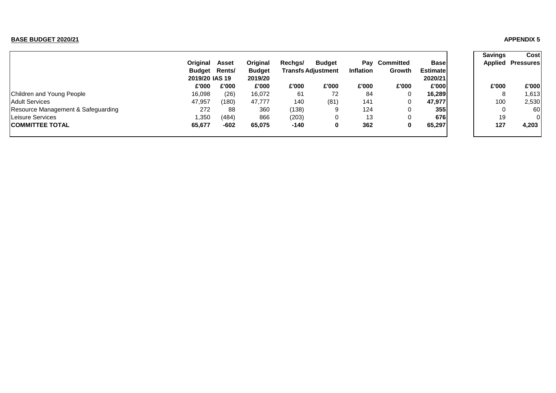#### **BASE BUDGET 2020/21 APPENDIX 5**

|                                    |                      |       |               |         |                           |                  |              |                 | <b>Savings</b> | Cost             |
|------------------------------------|----------------------|-------|---------------|---------|---------------------------|------------------|--------------|-----------------|----------------|------------------|
|                                    | Original             | Asset | Original      | Rechgs/ | <b>Budget</b>             | Pay              | Committed    | <b>Base</b>     | <b>Applied</b> | <b>Pressures</b> |
|                                    | <b>Budget Rents/</b> |       | <b>Budget</b> |         | <b>Transfs Adiustment</b> | <b>Inflation</b> | Growth       | <b>Estimate</b> |                |                  |
|                                    | 2019/20 IAS 19       |       | 2019/20       |         |                           |                  |              | 2020/21         |                |                  |
|                                    | £'000                | £'000 | £'000         | £'000   | £'000                     | £'000            | £'000        | £'000           | £'000          | £'000            |
| Children and Young People          | 16,098               | (26)  | 16,072        | 61      | 72                        | 84               | 0            | 16.289          | 8              | 1,613            |
| <b>Adult Services</b>              | 47,957               | (180) | 47.777        | 140     | (81)                      | 141              | $\mathbf{0}$ | 47,977          | 100            | 2,530            |
| Resource Management & Safeguarding | 272                  | 88    | 360           | (138)   | 9                         | 124              |              | 355             | 0              | 60               |
| Leisure Services                   | 1,350                | (484) | 866           | (203)   | 0                         | 13               |              | 676             | 19             | $\Omega$         |
| <b>COMMITTEE TOTAL</b>             | 65,677               | -602  | 65.075        | $-140$  | 0                         | 362              | 0            | 65,297          | 127            | 4,203            |
|                                    |                      |       |               |         |                           |                  |              |                 |                |                  |